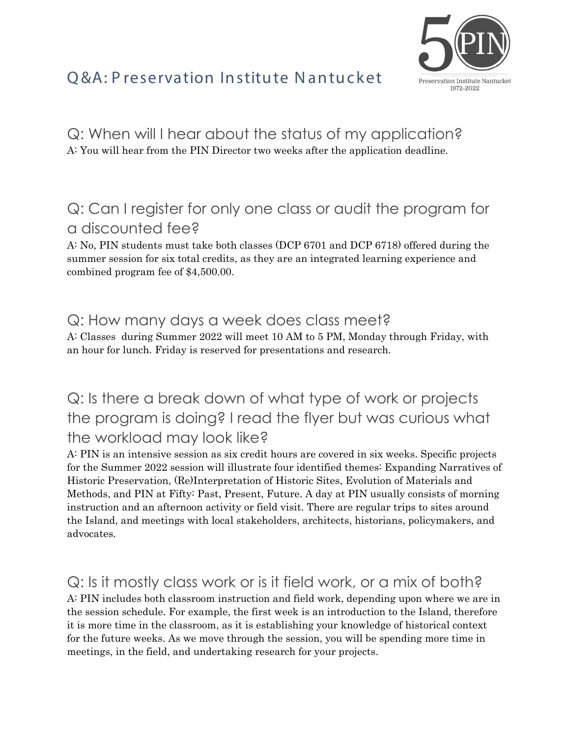# Q&A: P reservation Institute Nantucket



Q: When will I hear about the status of my application? A: You will hear from the PIN Director two weeks after the application deadline.

### Q: Can I register for only one class or audit the program for a discounted fee?

A: No, PIN students must take both classes (DCP 6701 and DCP 6718) offered during the summer session for six total credits, as they are an integrated learning experience and combined program fee of \$4,500.00.

#### Q: How many days a week does class meet?

A: Classes during Summer 2022 will meet 10 AM to 5 PM, Monday through Friday, with an hour for lunch. Friday is reserved for presentations and research.

### Q: Is there a break down of what type of work or projects the program is doing? I read the flyer but was curious what the workload may look like?

A: PIN is an intensive session as six credit hours are covered in six weeks. Specific projects for the Summer 2022 session will illustrate four identified themes: Expanding Narratives of Historic Preservation, (Re)Interpretation of Historic Sites, Evolution of Materials and Methods, and PIN at Fifty: Past, Present, Future. A day at PIN usually consists of morning instruction and an afternoon activity or field visit. There are regular trips to sites around the Island, and meetings with local stakeholders, architects, historians, policymakers, and advocates.

### Q: Is it mostly class work or is it field work, or a mix of both?

A: PIN includes both classroom instruction and field work, depending upon where we are in the session schedule. For example, the first week is an introduction to the Island, therefore it is more time in the classroom, as it is establishing your knowledge of historical context for the future weeks. As we move through the session, you will be spending more time in meetings, in the field, and undertaking research for your projects.